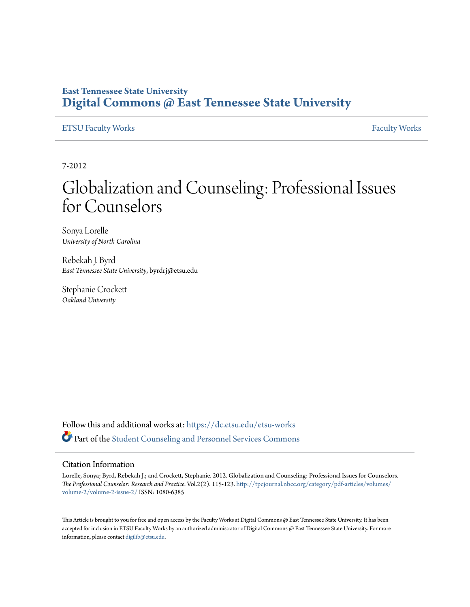#### **East Tennessee State University [Digital Commons @ East Tennessee State University](https://dc.etsu.edu?utm_source=dc.etsu.edu%2Fetsu-works%2F886&utm_medium=PDF&utm_campaign=PDFCoverPages)**

#### [ETSU Faculty Works](https://dc.etsu.edu/etsu-works?utm_source=dc.etsu.edu%2Fetsu-works%2F886&utm_medium=PDF&utm_campaign=PDFCoverPages) [Faculty Works](https://dc.etsu.edu/faculty-works?utm_source=dc.etsu.edu%2Fetsu-works%2F886&utm_medium=PDF&utm_campaign=PDFCoverPages) Faculty Works

7-2012

## Globalization and Counseling: Professional Issues for Counselors

Sonya Lorelle *University of North Carolina*

Rebekah J. Byrd *East Tennessee State University*, byrdrj@etsu.edu

Stephanie Crockett *Oakland University*

Follow this and additional works at: [https://dc.etsu.edu/etsu-works](https://dc.etsu.edu/etsu-works?utm_source=dc.etsu.edu%2Fetsu-works%2F886&utm_medium=PDF&utm_campaign=PDFCoverPages) Part of the [Student Counseling and Personnel Services Commons](http://network.bepress.com/hgg/discipline/802?utm_source=dc.etsu.edu%2Fetsu-works%2F886&utm_medium=PDF&utm_campaign=PDFCoverPages)

#### Citation Information

Lorelle, Sonya; Byrd, Rebekah J.; and Crockett, Stephanie. 2012. Globalization and Counseling: Professional Issues for Counselors. *The Professional Counselor: Research and Practice*. Vol.2(2). 115-123. [http://tpcjournal.nbcc.org/category/pdf-articles/volumes/](http://tpcjournal.nbcc.org/category/pdf-articles/volumes/volume-2/volume-2-issue-2/) [volume-2/volume-2-issue-2/](http://tpcjournal.nbcc.org/category/pdf-articles/volumes/volume-2/volume-2-issue-2/) ISSN: 1080-6385

This Article is brought to you for free and open access by the Faculty Works at Digital Commons  $\varpi$  East Tennessee State University. It has been accepted for inclusion in ETSU Faculty Works by an authorized administrator of Digital Commons @ East Tennessee State University. For more information, please contact [digilib@etsu.edu.](mailto:digilib@etsu.edu)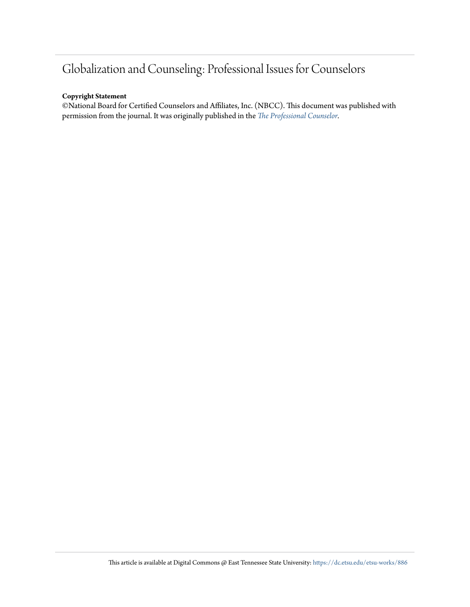### Globalization and Counseling: Professional Issues for Counselors

#### **Copyright Statement**

©National Board for Certified Counselors and Affiliates, Inc. (NBCC). This document was published with permission from the journal. It was originally published in the *[The Professional Counselor](http://tpcjournal.nbcc.org/category/pdf-articles/volumes/volume-2/volume-2-issue-2/).*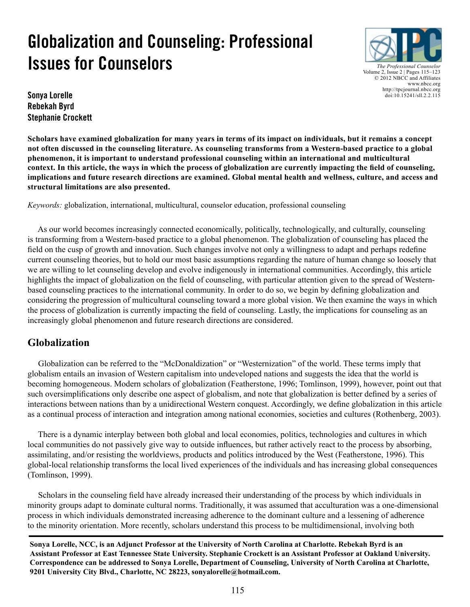# **Globalization and Counseling: Professional Issues for Counselors**



**Sonya Lorelle Rebekah Byrd Stephanie Crockett**

**Scholars have examined globalization for many years in terms of its impact on individuals, but it remains a concept not often discussed in the counseling literature. As counseling transforms from a Western-based practice to a global phenomenon, it is important to understand professional counseling within an international and multicultural context. In this article, the ways in which the process of globalization are currently impacting the field of counseling, implications and future research directions are examined. Global mental health and wellness, culture, and access and structural limitations are also presented.**

*Keywords:* globalization, international, multicultural, counselor education, professional counseling

 As our world becomes increasingly connected economically, politically, technologically, and culturally, counseling is transforming from a Western-based practice to a global phenomenon. The globalization of counseling has placed the field on the cusp of growth and innovation. Such changes involve not only a willingness to adapt and perhaps redefine current counseling theories, but to hold our most basic assumptions regarding the nature of human change so loosely that we are willing to let counseling develop and evolve indigenously in international communities. Accordingly, this article highlights the impact of globalization on the field of counseling, with particular attention given to the spread of Westernbased counseling practices to the international community. In order to do so, we begin by defining globalization and considering the progression of multicultural counseling toward a more global vision. We then examine the ways in which the process of globalization is currently impacting the field of counseling. Lastly, the implications for counseling as an increasingly global phenomenon and future research directions are considered.

#### **Globalization**

 Globalization can be referred to the "McDonaldization" or "Westernization" of the world. These terms imply that globalism entails an invasion of Western capitalism into undeveloped nations and suggests the idea that the world is becoming homogeneous. Modern scholars of globalization (Featherstone, 1996; Tomlinson, 1999), however, point out that such oversimplifications only describe one aspect of globalism, and note that globalization is better defined by a series of interactions between nations than by a unidirectional Western conquest. Accordingly, we define globalization in this article as a continual process of interaction and integration among national economies, societies and cultures (Rothenberg, 2003).

 There is a dynamic interplay between both global and local economies, politics, technologies and cultures in which local communities do not passively give way to outside influences, but rather actively react to the process by absorbing, assimilating, and/or resisting the worldviews, products and politics introduced by the West (Featherstone, 1996). This global-local relationship transforms the local lived experiences of the individuals and has increasing global consequences (Tomlinson, 1999).

 Scholars in the counseling field have already increased their understanding of the process by which individuals in minority groups adapt to dominate cultural norms. Traditionally, it was assumed that acculturation was a one-dimensional process in which individuals demonstrated increasing adherence to the dominant culture and a lessening of adherence to the minority orientation. More recently, scholars understand this process to be multidimensional, involving both

**Sonya Lorelle, NCC, is an Adjunct Professor at the University of North Carolina at Charlotte. Rebekah Byrd is an Assistant Professor at East Tennessee State University. Stephanie Crockett is an Assistant Professor at Oakland University. Correspondence can be addressed to Sonya Lorelle, Department of Counseling, University of North Carolina at Charlotte, 9201 University City Blvd., Charlotte, NC 28223, sonyalorelle@hotmail.com.**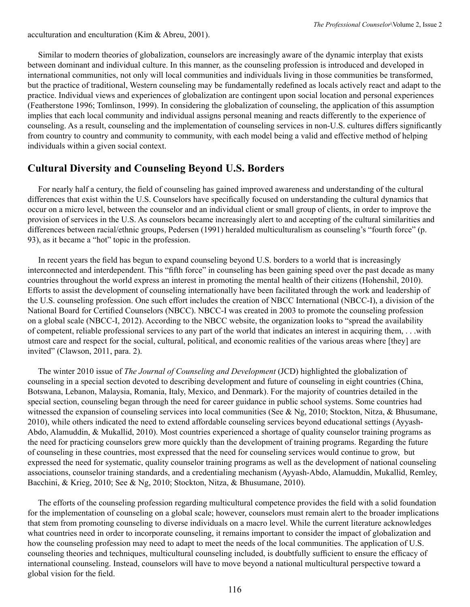acculturation and enculturation (Kim & Abreu, 2001).

 Similar to modern theories of globalization, counselors are increasingly aware of the dynamic interplay that exists between dominant and individual culture. In this manner, as the counseling profession is introduced and developed in international communities, not only will local communities and individuals living in those communities be transformed, but the practice of traditional, Western counseling may be fundamentally redefined as locals actively react and adapt to the practice. Individual views and experiences of globalization are contingent upon social location and personal experiences (Featherstone 1996; Tomlinson, 1999). In considering the globalization of counseling, the application of this assumption implies that each local community and individual assigns personal meaning and reacts differently to the experience of counseling. As a result, counseling and the implementation of counseling services in non-U.S. cultures differs significantly from country to country and community to community, with each model being a valid and effective method of helping individuals within a given social context.

#### **Cultural Diversity and Counseling Beyond U.S. Borders**

 For nearly half a century, the field of counseling has gained improved awareness and understanding of the cultural differences that exist within the U.S. Counselors have specifically focused on understanding the cultural dynamics that occur on a micro level, between the counselor and an individual client or small group of clients, in order to improve the provision of services in the U.S. As counselors became increasingly alert to and accepting of the cultural similarities and differences between racial/ethnic groups, Pedersen (1991) heralded multiculturalism as counseling's "fourth force" (p. 93), as it became a "hot" topic in the profession.

 In recent years the field has begun to expand counseling beyond U.S. borders to a world that is increasingly interconnected and interdependent. This "fifth force" in counseling has been gaining speed over the past decade as many countries throughout the world express an interest in promoting the mental health of their citizens (Hohenshil, 2010). Efforts to assist the development of counseling internationally have been facilitated through the work and leadership of the U.S. counseling profession. One such effort includes the creation of NBCC International (NBCC-I), a division of the National Board for Certified Counselors (NBCC). NBCC-I was created in 2003 to promote the counseling profession on a global scale (NBCC-I, 2012). According to the NBCC website, the organization looks to "spread the availability of competent, reliable professional services to any part of the world that indicates an interest in acquiring them, . . .with utmost care and respect for the social, cultural, political, and economic realities of the various areas where [they] are invited" (Clawson, 2011, para. 2).

 The winter 2010 issue of *The Journal of Counseling and Development* (JCD) highlighted the globalization of counseling in a special section devoted to describing development and future of counseling in eight countries (China, Botswana, Lebanon, Malaysia, Romania, Italy, Mexico, and Denmark). For the majority of countries detailed in the special section, counseling began through the need for career guidance in public school systems. Some countries had witnessed the expansion of counseling services into local communities (See & Ng, 2010; Stockton, Nitza, & Bhusumane, 2010), while others indicated the need to extend affordable counseling services beyond educational settings (Ayyash-Abdo, Alamuddin, & Mukallid, 2010). Most countries experienced a shortage of quality counselor training programs as the need for practicing counselors grew more quickly than the development of training programs. Regarding the future of counseling in these countries, most expressed that the need for counseling services would continue to grow, but expressed the need for systematic, quality counselor training programs as well as the development of national counseling associations, counselor training standards, and a credentialing mechanism (Ayyash-Abdo, Alamuddin, Mukallid, Remley, Bacchini, & Krieg, 2010; See & Ng, 2010; Stockton, Nitza, & Bhusumane, 2010).

 The efforts of the counseling profession regarding multicultural competence provides the field with a solid foundation for the implementation of counseling on a global scale; however, counselors must remain alert to the broader implications that stem from promoting counseling to diverse individuals on a macro level. While the current literature acknowledges what countries need in order to incorporate counseling, it remains important to consider the impact of globalization and how the counseling profession may need to adapt to meet the needs of the local communities. The application of U.S. counseling theories and techniques, multicultural counseling included, is doubtfully sufficient to ensure the efficacy of international counseling. Instead, counselors will have to move beyond a national multicultural perspective toward a global vision for the field.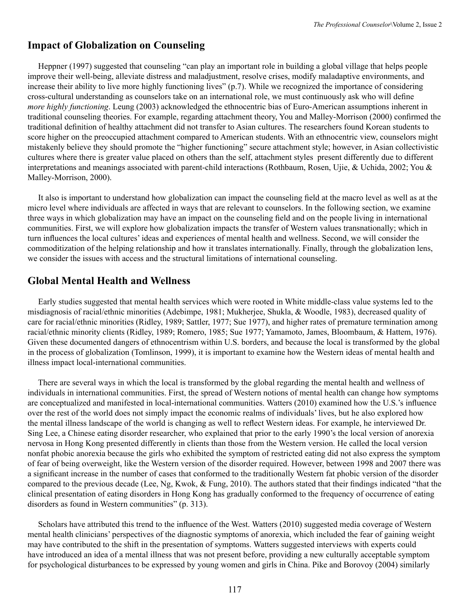#### **Impact of Globalization on Counseling**

 Heppner (1997) suggested that counseling "can play an important role in building a global village that helps people improve their well-being, alleviate distress and maladjustment, resolve crises, modify maladaptive environments, and increase their ability to live more highly functioning lives" (p.7). While we recognized the importance of considering cross-cultural understanding as counselors take on an international role, we must continuously ask who will define *more highly functioning*. Leung (2003) acknowledged the ethnocentric bias of Euro-American assumptions inherent in traditional counseling theories. For example, regarding attachment theory, You and Malley-Morrison (2000) confirmed the traditional definition of healthy attachment did not transfer to Asian cultures. The researchers found Korean students to score higher on the preoccupied attachment compared to American students. With an ethnocentric view, counselors might mistakenly believe they should promote the "higher functioning" secure attachment style; however, in Asian collectivistic cultures where there is greater value placed on others than the self, attachment styles present differently due to different interpretations and meanings associated with parent-child interactions (Rothbaum, Rosen, Ujie, & Uchida, 2002; You & Malley-Morrison, 2000).

 It also is important to understand how globalization can impact the counseling field at the macro level as well as at the micro level where individuals are affected in ways that are relevant to counselors. In the following section, we examine three ways in which globalization may have an impact on the counseling field and on the people living in international communities. First, we will explore how globalization impacts the transfer of Western values transnationally; which in turn influences the local cultures' ideas and experiences of mental health and wellness. Second, we will consider the commoditization of the helping relationship and how it translates internationally. Finally, through the globalization lens, we consider the issues with access and the structural limitations of international counseling.

#### **Global Mental Health and Wellness**

 Early studies suggested that mental health services which were rooted in White middle-class value systems led to the misdiagnosis of racial/ethnic minorities (Adebimpe, 1981; Mukherjee, Shukla, & Woodle, 1983), decreased quality of care for racial/ethnic minorities (Ridley, 1989; Sattler, 1977; Sue 1977), and higher rates of premature termination among racial/ethnic minority clients (Ridley, 1989; Romero, 1985; Sue 1977; Yamamoto, James, Bloombaum, & Hattem, 1976). Given these documented dangers of ethnocentrism within U.S. borders, and because the local is transformed by the global in the process of globalization (Tomlinson, 1999), it is important to examine how the Western ideas of mental health and illness impact local-international communities.

 There are several ways in which the local is transformed by the global regarding the mental health and wellness of individuals in international communities. First, the spread of Western notions of mental health can change how symptoms are conceptualized and manifested in local-international communities. Watters (2010) examined how the U.S.'s influence over the rest of the world does not simply impact the economic realms of individuals' lives, but he also explored how the mental illness landscape of the world is changing as well to reflect Western ideas. For example, he interviewed Dr. Sing Lee, a Chinese eating disorder researcher, who explained that prior to the early 1990's the local version of anorexia nervosa in Hong Kong presented differently in clients than those from the Western version. He called the local version nonfat phobic anorexia because the girls who exhibited the symptom of restricted eating did not also express the symptom of fear of being overweight, like the Western version of the disorder required. However, between 1998 and 2007 there was a significant increase in the number of cases that conformed to the traditionally Western fat phobic version of the disorder compared to the previous decade (Lee, Ng, Kwok, & Fung, 2010). The authors stated that their findings indicated "that the clinical presentation of eating disorders in Hong Kong has gradually conformed to the frequency of occurrence of eating disorders as found in Western communities" (p. 313).

 Scholars have attributed this trend to the influence of the West. Watters (2010) suggested media coverage of Western mental health clinicians' perspectives of the diagnostic symptoms of anorexia, which included the fear of gaining weight may have contributed to the shift in the presentation of symptoms. Watters suggested interviews with experts could have introduced an idea of a mental illness that was not present before, providing a new culturally acceptable symptom for psychological disturbances to be expressed by young women and girls in China. Pike and Borovoy (2004) similarly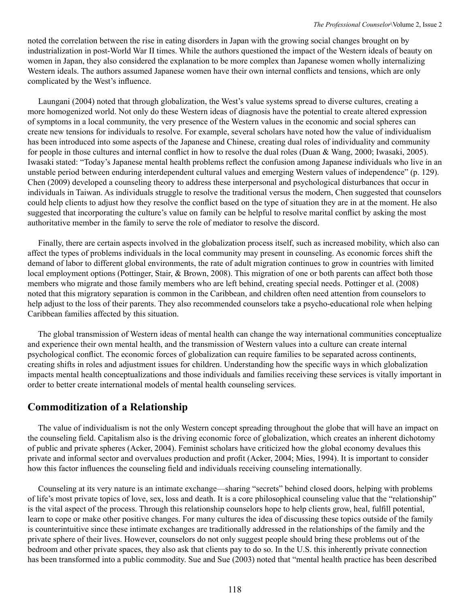noted the correlation between the rise in eating disorders in Japan with the growing social changes brought on by industrialization in post-World War II times. While the authors questioned the impact of the Western ideals of beauty on women in Japan, they also considered the explanation to be more complex than Japanese women wholly internalizing Western ideals. The authors assumed Japanese women have their own internal conflicts and tensions, which are only complicated by the West's influence.

 Laungani (2004) noted that through globalization, the West's value systems spread to diverse cultures, creating a more homogenized world. Not only do these Western ideas of diagnosis have the potential to create altered expression of symptoms in a local community, the very presence of the Western values in the economic and social spheres can create new tensions for individuals to resolve. For example, several scholars have noted how the value of individualism has been introduced into some aspects of the Japanese and Chinese, creating dual roles of individuality and community for people in those cultures and internal conflict in how to resolve the dual roles (Duan & Wang, 2000; Iwasaki, 2005). Iwasaki stated: "Today's Japanese mental health problems reflect the confusion among Japanese individuals who live in an unstable period between enduring interdependent cultural values and emerging Western values of independence" (p. 129). Chen (2009) developed a counseling theory to address these interpersonal and psychological disturbances that occur in individuals in Taiwan. As individuals struggle to resolve the traditional versus the modern, Chen suggested that counselors could help clients to adjust how they resolve the conflict based on the type of situation they are in at the moment. He also suggested that incorporating the culture's value on family can be helpful to resolve marital conflict by asking the most authoritative member in the family to serve the role of mediator to resolve the discord.

 Finally, there are certain aspects involved in the globalization process itself, such as increased mobility, which also can affect the types of problems individuals in the local community may present in counseling. As economic forces shift the demand of labor to different global environments, the rate of adult migration continues to grow in countries with limited local employment options (Pottinger, Stair, & Brown, 2008). This migration of one or both parents can affect both those members who migrate and those family members who are left behind, creating special needs. Pottinger et al. (2008) noted that this migratory separation is common in the Caribbean, and children often need attention from counselors to help adjust to the loss of their parents. They also recommended counselors take a psycho-educational role when helping Caribbean families affected by this situation.

 The global transmission of Western ideas of mental health can change the way international communities conceptualize and experience their own mental health, and the transmission of Western values into a culture can create internal psychological conflict. The economic forces of globalization can require families to be separated across continents, creating shifts in roles and adjustment issues for children. Understanding how the specific ways in which globalization impacts mental health conceptualizations and those individuals and families receiving these services is vitally important in order to better create international models of mental health counseling services.

#### **Commoditization of a Relationship**

 The value of individualism is not the only Western concept spreading throughout the globe that will have an impact on the counseling field. Capitalism also is the driving economic force of globalization, which creates an inherent dichotomy of public and private spheres (Acker, 2004). Feminist scholars have criticized how the global economy devalues this private and informal sector and overvalues production and profit (Acker, 2004; Mies, 1994). It is important to consider how this factor influences the counseling field and individuals receiving counseling internationally.

 Counseling at its very nature is an intimate exchange—sharing "secrets" behind closed doors, helping with problems of life's most private topics of love, sex, loss and death. It is a core philosophical counseling value that the "relationship" is the vital aspect of the process. Through this relationship counselors hope to help clients grow, heal, fulfill potential, learn to cope or make other positive changes. For many cultures the idea of discussing these topics outside of the family is counterintuitive since these intimate exchanges are traditionally addressed in the relationships of the family and the private sphere of their lives. However, counselors do not only suggest people should bring these problems out of the bedroom and other private spaces, they also ask that clients pay to do so. In the U.S. this inherently private connection has been transformed into a public commodity. Sue and Sue (2003) noted that "mental health practice has been described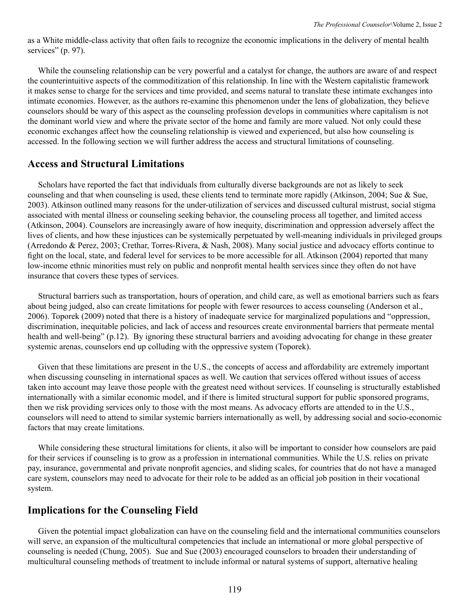as a White middle-class activity that often fails to recognize the economic implications in the delivery of mental health services" (p. 97).

 While the counseling relationship can be very powerful and a catalyst for change, the authors are aware of and respect the counterintuitive aspects of the commoditization of this relationship. In line with the Western capitalistic framework it makes sense to charge for the services and time provided, and seems natural to translate these intimate exchanges into intimate economies. However, as the authors re-examine this phenomenon under the lens of globalization, they believe counselors should be wary of this aspect as the counseling profession develops in communities where capitalism is not the dominant world view and where the private sector of the home and family are more valued. Not only could these economic exchanges affect how the counseling relationship is viewed and experienced, but also how counseling is accessed. In the following section we will further address the access and structural limitations of counseling.

#### **Access and Structural Limitations**

Scholars have reported the fact that individuals from culturally diverse backgrounds are not as likely to seek counseling and that when counseling is used, these clients tend to terminate more rapidly (Atkinson, 2004; Sue & Sue, 2003). Atkinson outlined many reasons for the under-utilization of services and discussed cultural mistrust, social stigma associated with mental illness or counseling seeking behavior, the counseling process all together, and limited access (Atkinson, 2004). Counselors are increasingly aware of how inequity, discrimination and oppression adversely affect the lives of clients, and how these injustices can be systemically perpetuated by well-meaning individuals in privileged groups (Arredondo & Perez, 2003; Crethar, Torres-Rivera, & Nash, 2008). Many social justice and advocacy efforts continue to fight on the local, state, and federal level for services to be more accessible for all. Atkinson (2004) reported that many low-income ethnic minorities must rely on public and nonprofit mental health services since they often do not have insurance that covers these types of services.

 Structural barriers such as transportation, hours of operation, and child care, as well as emotional barriers such as fears about being judged, also can create limitations for people with fewer resources to access counseling (Anderson et al., 2006). Toporek (2009) noted that there is a history of inadequate service for marginalized populations and "oppression, discrimination, inequitable policies, and lack of access and resources create environmental barriers that permeate mental health and well-being" (p.12). By ignoring these structural barriers and avoiding advocating for change in these greater systemic arenas, counselors end up colluding with the oppressive system (Toporek).

 Given that these limitations are present in the U.S., the concepts of access and affordability are extremely important when discussing counseling in international spaces as well. We caution that services offered without issues of access taken into account may leave those people with the greatest need without services. If counseling is structurally established internationally with a similar economic model, and if there is limited structural support for public sponsored programs, then we risk providing services only to those with the most means. As advocacy efforts are attended to in the U.S., counselors will need to attend to similar systemic barriers internationally as well, by addressing social and socio-economic factors that may create limitations.

 While considering these structural limitations for clients, it also will be important to consider how counselors are paid for their services if counseling is to grow as a profession in international communities. While the U.S. relies on private pay, insurance, governmental and private nonprofit agencies, and sliding scales, for countries that do not have a managed care system, counselors may need to advocate for their role to be added as an official job position in their vocational system.

#### **Implications for the Counseling Field**

 Given the potential impact globalization can have on the counseling field and the international communities counselors will serve, an expansion of the multicultural competencies that include an international or more global perspective of counseling is needed (Chung, 2005). Sue and Sue (2003) encouraged counselors to broaden their understanding of multicultural counseling methods of treatment to include informal or natural systems of support, alternative healing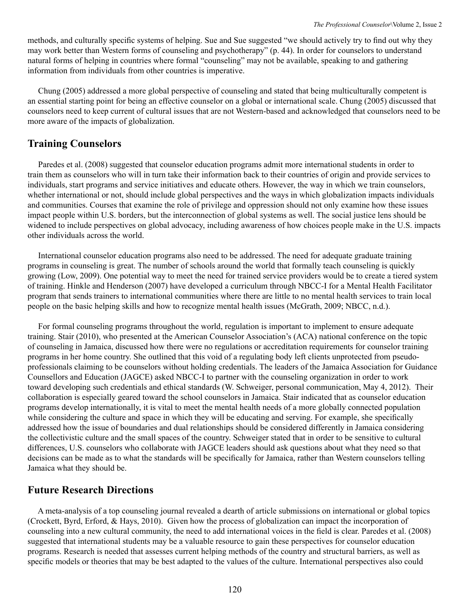methods, and culturally specific systems of helping. Sue and Sue suggested "we should actively try to find out why they may work better than Western forms of counseling and psychotherapy" (p. 44). In order for counselors to understand natural forms of helping in countries where formal "counseling" may not be available, speaking to and gathering information from individuals from other countries is imperative.

 Chung (2005) addressed a more global perspective of counseling and stated that being multiculturally competent is an essential starting point for being an effective counselor on a global or international scale. Chung (2005) discussed that counselors need to keep current of cultural issues that are not Western-based and acknowledged that counselors need to be more aware of the impacts of globalization.

#### **Training Counselors**

 Paredes et al. (2008) suggested that counselor education programs admit more international students in order to train them as counselors who will in turn take their information back to their countries of origin and provide services to individuals, start programs and service initiatives and educate others. However, the way in which we train counselors, whether international or not, should include global perspectives and the ways in which globalization impacts individuals and communities. Courses that examine the role of privilege and oppression should not only examine how these issues impact people within U.S. borders, but the interconnection of global systems as well. The social justice lens should be widened to include perspectives on global advocacy, including awareness of how choices people make in the U.S. impacts other individuals across the world.

 International counselor education programs also need to be addressed. The need for adequate graduate training programs in counseling is great. The number of schools around the world that formally teach counseling is quickly growing (Low, 2009). One potential way to meet the need for trained service providers would be to create a tiered system of training. Hinkle and Henderson (2007) have developed a curriculum through NBCC-I for a Mental Health Facilitator program that sends trainers to international communities where there are little to no mental health services to train local people on the basic helping skills and how to recognize mental health issues (McGrath, 2009; NBCC, n.d.).

 For formal counseling programs throughout the world, regulation is important to implement to ensure adequate training. Stair (2010), who presented at the American Counselor Association's (ACA) national conference on the topic of counseling in Jamaica, discussed how there were no regulations or accreditation requirements for counselor training programs in her home country. She outlined that this void of a regulating body left clients unprotected from pseudoprofessionals claiming to be counselors without holding credentials. The leaders of the Jamaica Association for Guidance Counsellors and Education (JAGCE) asked NBCC-I to partner with the counseling organization in order to work toward developing such credentials and ethical standards (W. Schweiger, personal communication, May 4, 2012). Their collaboration is especially geared toward the school counselors in Jamaica. Stair indicated that as counselor education programs develop internationally, it is vital to meet the mental health needs of a more globally connected population while considering the culture and space in which they will be educating and serving. For example, she specifically addressed how the issue of boundaries and dual relationships should be considered differently in Jamaica considering the collectivistic culture and the small spaces of the country. Schweiger stated that in order to be sensitive to cultural differences, U.S. counselors who collaborate with JAGCE leaders should ask questions about what they need so that decisions can be made as to what the standards will be specifically for Jamaica, rather than Western counselors telling Jamaica what they should be.

#### **Future Research Directions**

 A meta-analysis of a top counseling journal revealed a dearth of article submissions on international or global topics (Crockett, Byrd, Erford, & Hays, 2010). Given how the process of globalization can impact the incorporation of counseling into a new cultural community, the need to add international voices in the field is clear. Paredes et al. (2008) suggested that international students may be a valuable resource to gain these perspectives for counselor education programs. Research is needed that assesses current helping methods of the country and structural barriers, as well as specific models or theories that may be best adapted to the values of the culture. International perspectives also could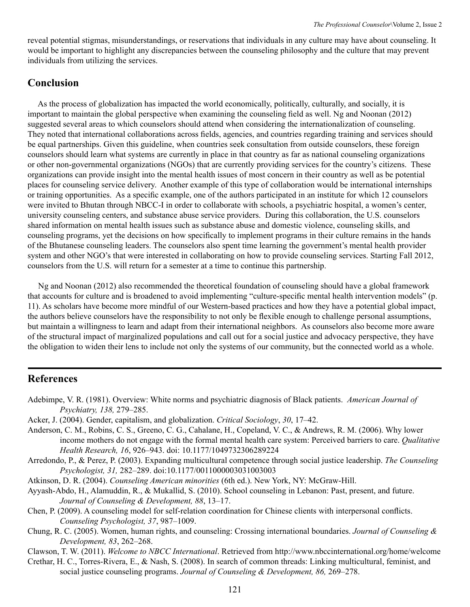reveal potential stigmas, misunderstandings, or reservations that individuals in any culture may have about counseling. It would be important to highlight any discrepancies between the counseling philosophy and the culture that may prevent individuals from utilizing the services.

#### **Conclusion**

 As the process of globalization has impacted the world economically, politically, culturally, and socially, it is important to maintain the global perspective when examining the counseling field as well. Ng and Noonan (2012) suggested several areas to which counselors should attend when considering the internationalization of counseling. They noted that international collaborations across fields, agencies, and countries regarding training and services should be equal partnerships. Given this guideline, when countries seek consultation from outside counselors, these foreign counselors should learn what systems are currently in place in that country as far as national counseling organizations or other non-governmental organizations (NGOs) that are currently providing services for the country's citizens. These organizations can provide insight into the mental health issues of most concern in their country as well as be potential places for counseling service delivery. Another example of this type of collaboration would be international internships or training opportunities. As a specific example, one of the authors participated in an institute for which 12 counselors were invited to Bhutan through NBCC-I in order to collaborate with schools, a psychiatric hospital, a women's center, university counseling centers, and substance abuse service providers. During this collaboration, the U.S. counselors shared information on mental health issues such as substance abuse and domestic violence, counseling skills, and counseling programs, yet the decisions on how specifically to implement programs in their culture remains in the hands of the Bhutanese counseling leaders. The counselors also spent time learning the government's mental health provider system and other NGO's that were interested in collaborating on how to provide counseling services. Starting Fall 2012, counselors from the U.S. will return for a semester at a time to continue this partnership.

 Ng and Noonan (2012) also recommended the theoretical foundation of counseling should have a global framework that accounts for culture and is broadened to avoid implementing "culture-specific mental health intervention models" (p. 11). As scholars have become more mindful of our Western-based practices and how they have a potential global impact, the authors believe counselors have the responsibility to not only be flexible enough to challenge personal assumptions, but maintain a willingness to learn and adapt from their international neighbors. As counselors also become more aware of the structural impact of marginalized populations and call out for a social justice and advocacy perspective, they have the obligation to widen their lens to include not only the systems of our community, but the connected world as a whole.

#### **References**

- Adebimpe, V. R. (1981). Overview: White norms and psychiatric diagnosis of Black patients. *American Journal of Psychiatry, 138,* 279–285.
- Acker, J. (2004). Gender, capitalism, and globalization. *Critical Sociology*, *30*, 17–42.
- Anderson, C. M., Robins, C. S., Greeno, C. G., Cahalane, H., Copeland, V. C., & Andrews, R. M. (2006). Why lower income mothers do not engage with the formal mental health care system: Perceived barriers to care. *Qualitative Health Research, 16*, 926–943. doi: 10.1177/1049732306289224
- Arredondo, P., & Perez, P. (2003). Expanding multicultural competence through social justice leadership. *The Counseling Psychologist, 31,* 282–289. doi:10.1177/0011000003031003003
- Atkinson, D. R. (2004). *Counseling American minorities* (6th ed.). New York, NY: McGraw-Hill.
- Ayyash-Abdo, H., Alamuddin, R., & Mukallid, S. (2010). School counseling in Lebanon: Past, present, and future. *Journal of Counseling & Development, 88*, 13–17.
- Chen, P. (2009). A counseling model for self-relation coordination for Chinese clients with interpersonal conflicts. *Counseling Psychologist, 37*, 987–1009.
- Chung, R. C. (2005). Women, human rights, and counseling: Crossing international boundaries. *Journal of Counseling & Development, 83*, 262–268.
- Clawson, T. W. (2011). *Welcome to NBCC International*. Retrieved from http://www.nbccinternational.org/home/welcome
- Crethar, H. C., Torres-Rivera, E., & Nash, S. (2008). In search of common threads: Linking multicultural, feminist, and social justice counseling programs. *Journal of Counseling & Development, 86,* 269–278.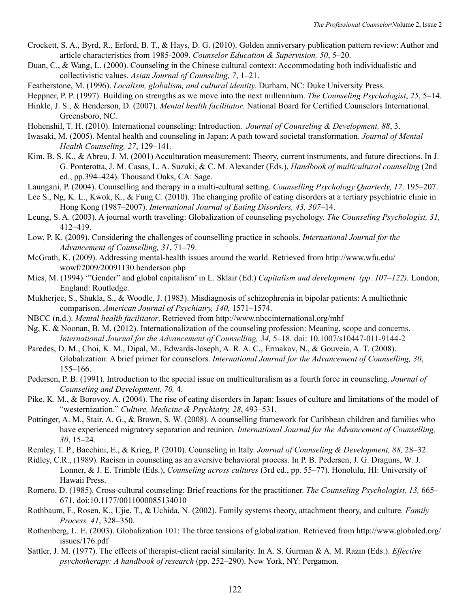- Crockett, S. A., Byrd, R., Erford, B. T., & Hays, D. G. (2010). Golden anniversary publication pattern review: Author and article characteristics from 1985-2009. *Counselor Education & Supervision, 50*, 5–20.
- Duan, C., & Wang, L. (2000). Counseling in the Chinese cultural context: Accommodating both individualistic and collectivistic values. *Asian Journal of Counseling, 7*, 1–21.
- Featherstone, M. (1996). *Localism, globalism, and cultural identity.* Durham, NC: Duke University Press.
- Heppner, P. P. (1997). Building on strengths as we move into the next millennium. *The Counseling Psychologist*, *25*, 5–14.
- Hinkle, J. S., & Henderson, D. (2007). *Mental health facilitator*. National Board for Certified Counselors International. Greensboro, NC.
- Hohenshil, T. H. (2010). International counseling: Introduction. *Journal of Counseling & Development, 88*, 3.
- Iwasaki, M. (2005). Mental health and counseling in Japan: A path toward societal transformation. *Journal of Mental Health Counseling, 27*, 129–141.
- Kim, B. S. K., & Abreu, J. M. (2001) Acculturation measurement: Theory, current instruments, and future directions. In J. G. Ponterotta, J. M. Casas, L. A. Suzuki, & C. M. Alexander (Eds.), *Handbook of multicultural counseling* (2nd ed., pp.394–424). Thousand Oaks, CA: Sage.
- Laungani, P. (2004). Counselling and therapy in a multi-cultural setting. *Counselling Psychology Quarterly, 17,* 195–207.
- Lee S., Ng, K. L., Kwok, K., & Fung C. (2010). The changing profile of eating disorders at a tertiary psychiatric clinic in Hong Kong (1987–2007). *International Journal of Eating Disorders, 43, 307*–14.
- Leung, S. A. (2003). A journal worth traveling: Globalization of counseling psychology. *The Counseling Psychologist, 31,*  412–419.
- Low, P. K. (2009). Considering the challenges of counselling practice in schools. *International Journal for the Advancement of Counselling, 31*, 71–79.
- McGrath, K. (2009). Addressing mental-health issues around the world. Retrieved from http://www.wfu.edu/ wowf/2009/20091130.henderson.php
- Mies, M. (1994) '"Gender" and global capitalism' in L. Sklair (Ed.) *Capitalism and development (pp. 107–122).* London, England: Routledge.
- Mukherjee, S., Shukla, S., & Woodle, J. (1983). Misdiagnosis of schizophrenia in bipolar patients: A multiethnic comparison. *American Journal of Psychiatry, 140,* 1571–1574.
- NBCC (n.d.). *Mental health facilitator*. Retrieved from http://www.nbccinternational.org/mhf
- Ng, K. & Noonan, B. M. (2012). Internationalization of the counseling profession: Meaning, scope and concerns. *International Journal for the Advancement of Counselling, 34,* 5–18. doi: 10.1007/s10447-011-9144-2
- Paredes, D. M., Choi, K. M., Dipal, M., Edwards-Joseph, A. R. A. C., Ermakov, N., & Gouveia, A. T. (2008). Globalization: A brief primer for counselors. *International Journal for the Advancement of Counselling, 30*, 155–166.
- Pedersen, P. B. (1991). Introduction to the special issue on multiculturalism as a fourth force in counseling. *Journal of Counseling and Development, 70,* 4.
- Pike, K. M., & Borovoy, A. (2004). The rise of eating disorders in Japan: Issues of culture and limitations of the model of "westernization." *Culture, Medicine & Psychiatry, 28*, 493–531.
- Pottinger, A. M., Stair, A. G., & Brown, S. W. (2008). A counselling framework for Caribbean children and families who have experienced migratory separation and reunion*. International Journal for the Advancement of Counselling, 30*, 15–24.
- Remley, T. P., Bacchini, E., & Krieg, P. (2010). Counseling in Italy. *Journal of Counseling & Development, 88,* 28–32.
- Ridley, C.R., (1989). Racism in counseling as an aversive behavioral process. In P. B. Pedersen, J. G. Draguns, W. J. Lonner, & J. E. Trimble (Eds.), *Counseling across cultures* (3rd ed., pp. 55–77). Honolulu, HI: University of Hawaii Press.
- Romero, D. (1985). Cross-cultural counseling: Brief reactions for the practitioner. *The Counseling Psychologist, 13,* 665– 671. doi:10.1177/0011000085134010
- Rothbaum, F., Rosen, K., Ujie, T., & Uchida, N. (2002). Family systems theory, attachment theory, and culture*. Family Process, 41*, 328–350.
- Rothenberg, L. E. (2003). Globalization 101: The three tensions of globalization. Retrieved from http://www.globaled.org/ issues/176.pdf
- Sattler, J. M. (1977). The effects of therapist-client racial similarity. In A. S. Gurman & A. M. Razin (Eds.). *Effective psychotherapy: A handbook of research* (pp. 252–290). New York, NY: Pergamon.